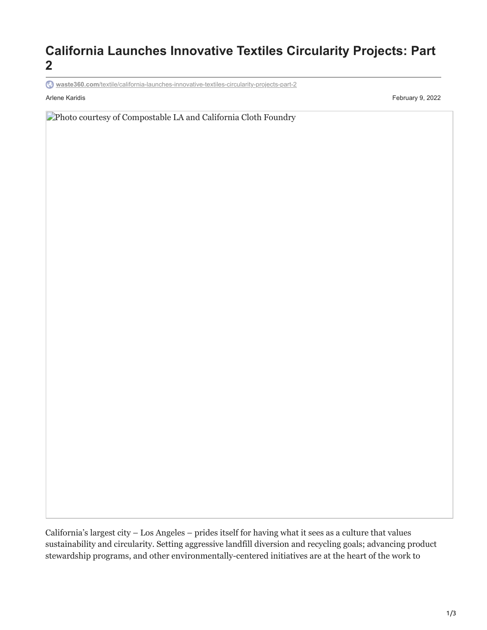## **California Launches Innovative Textiles Circularity Projects: Part 2**

**waste360.com**[/textile/california-launches-innovative-textiles-circularity-projects-part-2](https://www.waste360.com/textile/california-launches-innovative-textiles-circularity-projects-part-2)

Arlene Karidis February 9, 2022

Photo courtesy of Compostable LA and California Cloth Foundry

California's largest city – Los Angeles – prides itself for having what it sees as a culture that values sustainability and circularity. Setting aggressive landfill diversion and recycling goals; advancing product stewardship programs, and other environmentally-centered initiatives are at the heart of the work to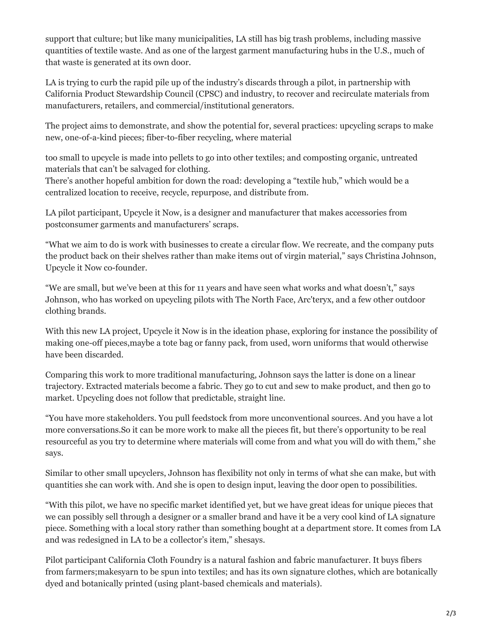support that culture; but like many municipalities, LA still has big trash problems, including massive quantities of textile waste. And as one of the largest garment manufacturing hubs in the U.S., much of that waste is generated at its own door.

LA is trying to curb the rapid pile up of the industry's discards through a pilot, in partnership with California Product Stewardship Council (CPSC) and industry, to recover and recirculate materials from manufacturers, retailers, and commercial/institutional generators.

The project aims to demonstrate, and show the potential for, several practices: upcycling scraps to make new, one-of-a-kind pieces; fiber-to-fiber recycling, where material

too small to upcycle is made into pellets to go into other textiles; and composting organic, untreated materials that can't be salvaged for clothing.

There's another hopeful ambition for down the road: developing a "textile hub," which would be a centralized location to receive, recycle, repurpose, and distribute from.

LA pilot participant, Upcycle it Now, is a designer and manufacturer that makes accessories from postconsumer garments and manufacturers' scraps.

"What we aim to do is work with businesses to create a circular flow. We recreate, and the company puts the product back on their shelves rather than make items out of virgin material," says Christina Johnson, Upcycle it Now co-founder.

"We are small, but we've been at this for 11 years and have seen what works and what doesn't," says Johnson, who has worked on upcycling pilots with The North Face, Arc'teryx, and a few other outdoor clothing brands.

With this new LA project, Upcycle it Now is in the ideation phase, exploring for instance the possibility of making one-off pieces,maybe a tote bag or fanny pack, from used, worn uniforms that would otherwise have been discarded.

Comparing this work to more traditional manufacturing, Johnson says the latter is done on a linear trajectory. Extracted materials become a fabric. They go to cut and sew to make product, and then go to market. Upcycling does not follow that predictable, straight line.

"You have more stakeholders. You pull feedstock from more unconventional sources. And you have a lot more conversations.So it can be more work to make all the pieces fit, but there's opportunity to be real resourceful as you try to determine where materials will come from and what you will do with them," she says.

Similar to other small upcyclers, Johnson has flexibility not only in terms of what she can make, but with quantities she can work with. And she is open to design input, leaving the door open to possibilities.

"With this pilot, we have no specific market identified yet, but we have great ideas for unique pieces that we can possibly sell through a designer or a smaller brand and have it be a very cool kind of LA signature piece. Something with a local story rather than something bought at a department store. It comes from LA and was redesigned in LA to be a collector's item," shesays.

Pilot participant California Cloth Foundry is a natural fashion and fabric manufacturer. It buys fibers from farmers;makesyarn to be spun into textiles; and has its own signature clothes, which are botanically dyed and botanically printed (using plant-based chemicals and materials).